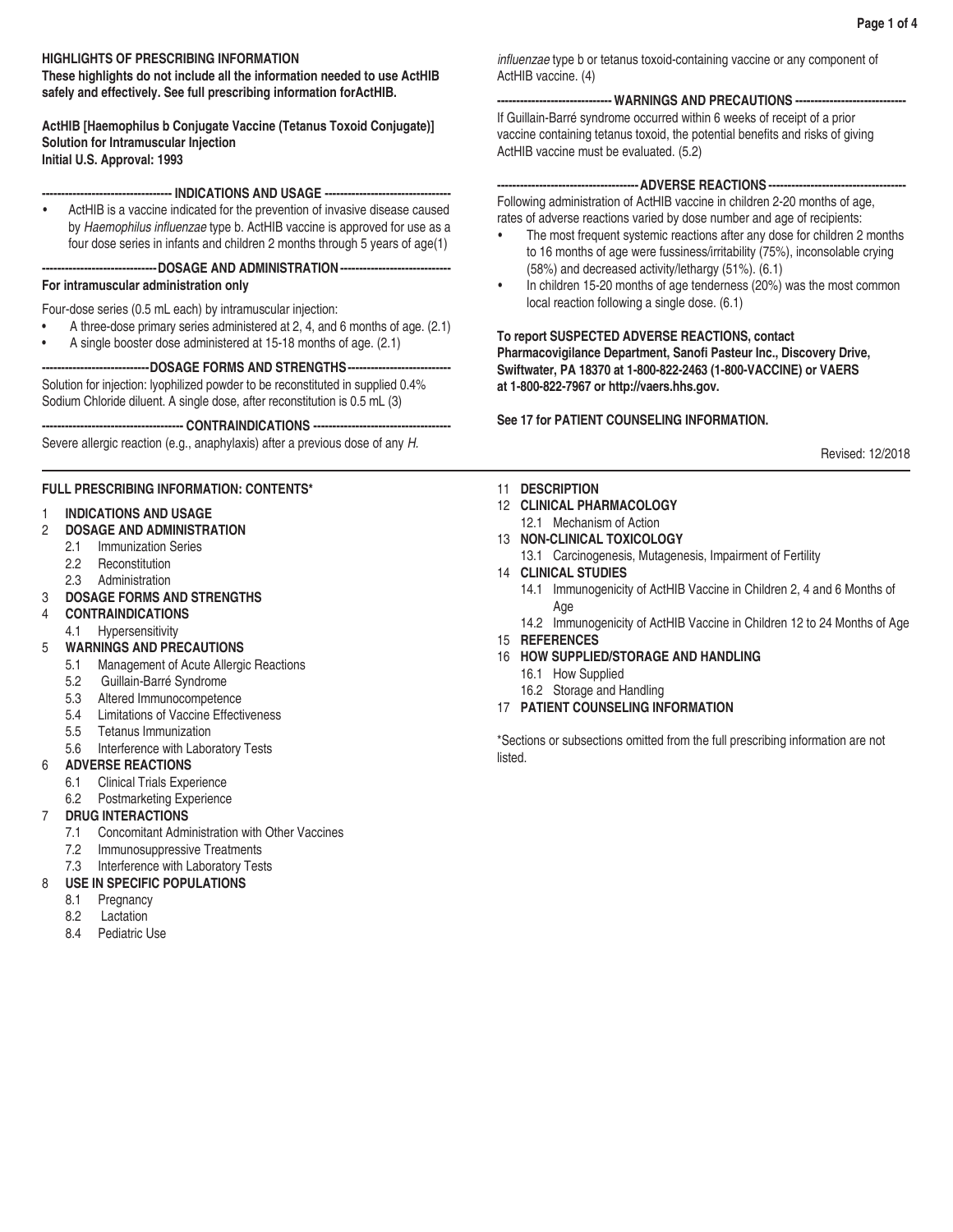# **HIGHLIGHTS OF PRESCRIBING INFORMATION**

**These highlights do not include all the information needed to use ActHIB safely and effectively. See full prescribing information forActHIB.**

**ActHIB [Haemophilus b Conjugate Vaccine (Tetanus Toxoid Conjugate)] Solution for Intramuscular Injection Initial U.S. Approval: 1993**

**---------------------------------- INDICATIONS AND USAGE ---------------------------------**

• ActHIB is a vaccine indicated for the prevention of invasive disease caused by Haemophilus influenzae type b. ActHIB vaccine is approved for use as a four dose series in infants and children 2 months through 5 years of age(1)

**------------------------------DOSAGE AND ADMINISTRATION-----------------------------**

# **For intramuscular administration only**

Four-dose series (0.5 mL each) by intramuscular injection:

- A three-dose primary series administered at 2, 4, and 6 months of age. (2.1)
- A single booster dose administered at 15-18 months of age. (2.1)

**----------------------------DOSAGE FORMS AND STRENGTHS---------------------------** Solution for injection: lyophilized powder to be reconstituted in supplied 0.4%

Sodium Chloride diluent. A single dose, after reconstitution is 0.5 mL (3)

**------------------------------------- CONTRAINDICATIONS ------------------------------------**

Severe allergic reaction (e.g., anaphylaxis) after a previous dose of any *H.* 

# **FULL PRESCRIBING INFORMATION: CONTENTS\***

# 1 **INDICATIONS AND USAGE**

- 2 **DOSAGE AND ADMINISTRATION**
	- 2.1 Immunization Series
	- 2.2 Reconstitution
	- 2.3 Administration
- 3 **DOSAGE FORMS AND STRENGTHS**
- 4 **CONTRAINDICATIONS**
- 4.1 Hypersensitivity
- 5 **WARNINGS AND PRECAUTIONS**
	- 5.1 Management of Acute Allergic Reactions
	- 5.2 Guillain-Barré Syndrome
	- 5.3 Altered Immunocompetence
	- 5.4 Limitations of Vaccine Effectiveness
	- 5.5 Tetanus Immunization
	- 5.6 Interference with Laboratory Tests
- 6 **ADVERSE REACTIONS**
	- 6.1 Clinical Trials Experience
	- 6.2 Postmarketing Experience

# 7 **DRUG INTERACTIONS**

- 7.1 Concomitant Administration with Other Vaccines
- 7.2 Immunosuppressive Treatments
- 7.3 Interference with Laboratory Tests

# 8 **USE IN SPECIFIC POPULATIONS**

- 8.1 Pregnancy
- 8.2 Lactation
- 8.4 Pediatric Use

influenzae type b or tetanus toxoid-containing vaccine or any component of ActHIB vaccine. (4)

# **------------------------------WARNINGS AND PRECAUTIONS -----------------------------**

If Guillain-Barré syndrome occurred within 6 weeks of receipt of a prior vaccine containing tetanus toxoid, the potential benefits and risks of giving ActHIB vaccine must be evaluated. (5.2)

# **-------------------------------------ADVERSE REACTIONS ------------------------------------**

Following administration of ActHIB vaccine in children 2-20 months of age, rates of adverse reactions varied by dose number and age of recipients:

- The most frequent systemic reactions after any dose for children 2 months to 16 months of age were fussiness/irritability (75%), inconsolable crying (58%) and decreased activity/lethargy (51%). (6.1)
- In children 15-20 months of age tenderness (20%) was the most common local reaction following a single dose. (6.1)

# **To report SUSPECTED ADVERSE REACTIONS, contact**

**Pharmacovigilance Department, Sanofi Pasteur Inc., Discovery Drive, Swiftwater, PA 18370 at 1-800-822-2463 (1-800-VACCINE) or VAERS at 1-800-822-7967 or http://vaers.hhs.gov.**

# **See 17 for PATIENT COUNSELING INFORMATION.**

Revised: 12/2018

- 11 **DESCRIPTION**
- 12 **CLINICAL PHARMACOLOGY**
- 12.1 Mechanism of Action
- 13 **NON-CLINICAL TOXICOLOGY**
	- 13.1 Carcinogenesis, Mutagenesis, Impairment of Fertility
- 14 **CLINICAL STUDIES**
	- 14.1 Immunogenicity of ActHIB Vaccine in Children 2, 4 and 6 Months of Age
	- 14.2 Immunogenicity of ActHIB Vaccine in Children 12 to 24 Months of Age
- 15 **REFERENCES**
- 16 **HOW SUPPLIED/STORAGE AND HANDLING**
	- 16.1 How Supplied
	- 16.2 Storage and Handling
- 17 **PATIENT COUNSELING INFORMATION**

\*Sections or subsections omitted from the full prescribing information are not listed.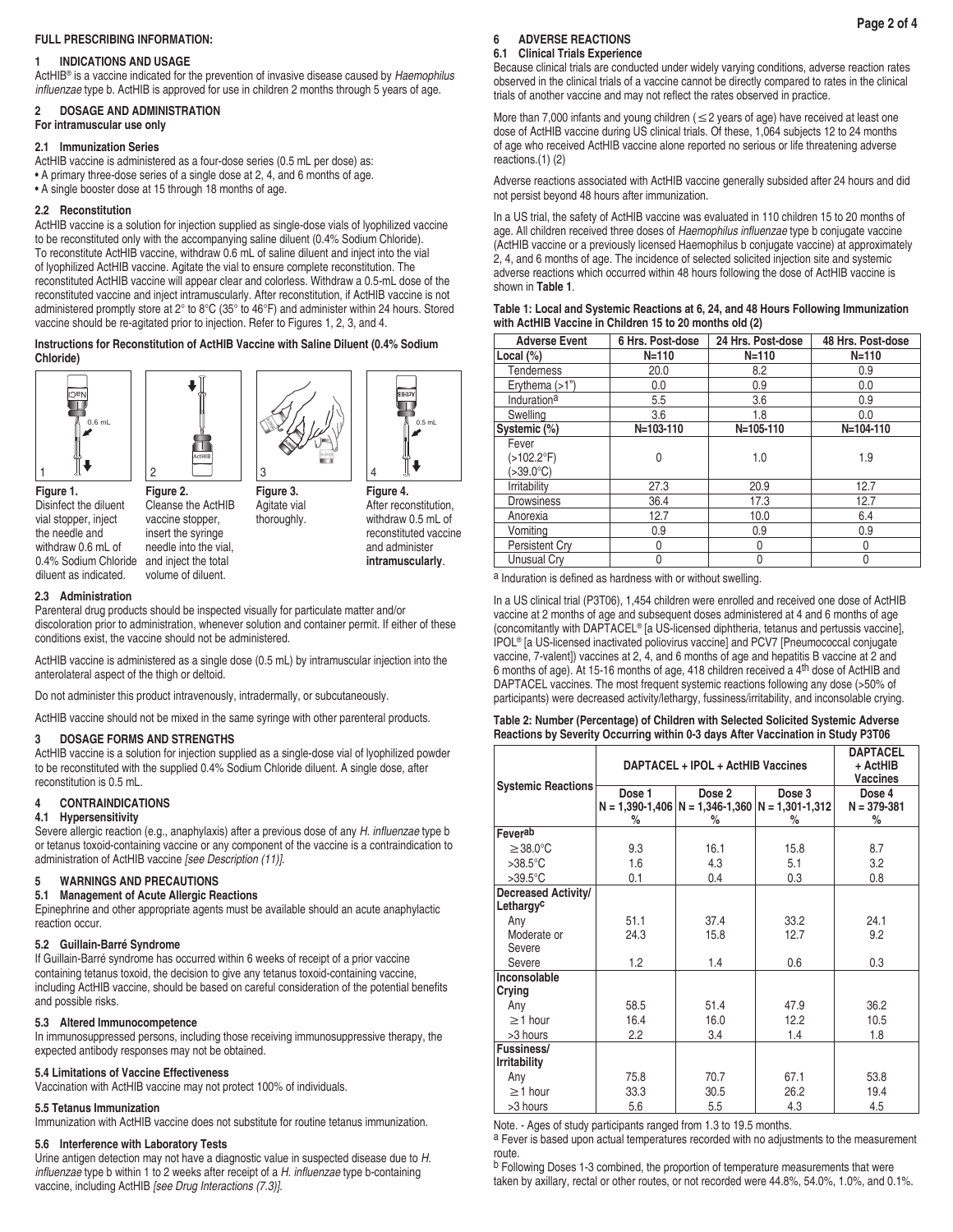# **FULL PRESCRIBING INFORMATION:**

## **1 INDICATIONS AND USAGE**

ActHIB® is a vaccine indicated for the prevention of invasive disease caused by *Haemophilus*  influenzae type b. ActHIB is approved for use in children 2 months through 5 years of age.

# **2 DOSAGE AND ADMINISTRATION**

# **For intramuscular use only**

# **2.1 Immunization Series**

ActHIB vaccine is administered as a four-dose series (0.5 mL per dose) as: • A primary three-dose series of a single dose at 2, 4, and 6 months of age.

• A single booster dose at 15 through 18 months of age.

## **2.2 Reconstitution**

ActHIB vaccine is a solution for injection supplied as single-dose vials of lyophilized vaccine to be reconstituted only with the accompanying saline diluent (0.4% Sodium Chloride). To reconstitute ActHIB vaccine, withdraw 0.6 mL of saline diluent and inject into the vial of lyophilized ActHIB vaccine. Agitate the vial to ensure complete reconstitution. The reconstituted ActHIB vaccine will appear clear and colorless. Withdraw a 0.5-mL dose of the reconstituted vaccine and inject intramuscularly. After reconstitution, if ActHIB vaccine is not administered promptly store at 2° to 8°C (35° to 46°F) and administer within 24 hours. Stored vaccine should be re-agitated prior to injection. Refer to Figures 1, 2, 3, and 4.

#### **Instructions for Reconstitution of ActHIB Vaccine with Saline Diluent (0.4% Sodium Chloride)**



**Figure 1.** Disinfect the diluent vial stopper, inject the needle and withdraw 0.6 mL of 0.4% Sodium Chloride and inject the total diluent as indicated.



**Figure 2.** Cleanse the ActHIB vaccine stopper, insert the syringe needle into the vial, volume of diluent.





ActHIB™

Ш

thoroughly. reconstituted vaccine and administer **intramuscularly**.

#### **2.3 Administration**

Parenteral drug products should be inspected visually for particulate matter and/or discoloration prior to administration, whenever solution and container permit. If either of these conditions exist, the vaccine should not be administered.

ActHIB vaccine is administered as a single dose (0.5 mL) by intramuscular injection into the anterolateral aspect of the thigh or deltoid.

Do not administer this product intravenously, intradermally, or subcutaneously.

ActHIB vaccine should not be mixed in the same syringe with other parenteral products.

#### **3 DOSAGE FORMS AND STRENGTHS**

ActHIB vaccine is a solution for injection supplied as a single-dose vial of lyophilized powder to be reconstituted with the supplied 0.4% Sodium Chloride diluent. A single dose, after reconstitution is 0.5 mL.

# **4 CONTRAINDICATIONS**

#### **4.1 Hypersensitivity**

Severe allergic reaction (e.g., anaphylaxis) after a previous dose of any H. influenzae type b or tetanus toxoid-containing vaccine or any component of the vaccine is a contraindication to administration of ActHIB vaccine *[see Description (11)]*.

# **5 WARNINGS AND PRECAUTIONS**

**5.1 Management of Acute Allergic Reactions**

Epinephrine and other appropriate agents must be available should an acute anaphylactic reaction occur.

# **5.2 Guillain-Barré Syndrome**

If Guillain-Barré syndrome has occurred within 6 weeks of receipt of a prior vaccine containing tetanus toxoid, the decision to give any tetanus toxoid-containing vaccine, including ActHIB vaccine, should be based on careful consideration of the potential benefits and possible risks.

#### **5.3 Altered Immunocompetence**

In immunosuppressed persons, including those receiving immunosuppressive therapy, the expected antibody responses may not be obtained.

# **5.4 Limitations of Vaccine Effectiveness**

Vaccination with ActHIB vaccine may not protect 100% of individuals.

# **5.5 Tetanus Immunization**

Immunization with ActHIB vaccine does not substitute for routine tetanus immunization.

# **5.6 Interference with Laboratory Tests**

Urine antigen detection may not have a diagnostic value in suspected disease due to *H.*  influenzae type b within 1 to 2 weeks after receipt of a H. influenzae type b-containing vaccine, including ActHIB *[see Drug Interactions (7.3)]*.

## **6 ADVERSE REACTIONS**

#### **6.1 Clinical Trials Experience**

Because clinical trials are conducted under widely varying conditions, adverse reaction rates observed in the clinical trials of a vaccine cannot be directly compared to rates in the clinical trials of another vaccine and may not reflect the rates observed in practice.

More than 7,000 infants and young children ( $\leq$ 2 years of age) have received at least one dose of ActHIB vaccine during US clinical trials. Of these, 1,064 subjects 12 to 24 months of age who received ActHIB vaccine alone reported no serious or life threatening adverse reactions.(1) (2)

Adverse reactions associated with ActHIB vaccine generally subsided after 24 hours and did not persist beyond 48 hours after immunization.

In a US trial, the safety of ActHIB vaccine was evaluated in 110 children 15 to 20 months of age. All children received three doses of Haemophilus influenzae type b conjugate vaccine (ActHIB vaccine or a previously licensed Haemophilus b conjugate vaccine) at approximately 2, 4, and 6 months of age. The incidence of selected solicited injection site and systemic adverse reactions which occurred within 48 hours following the dose of ActHIB vaccine is shown in **Table 1**.

| Table 1: Local and Systemic Reactions at 6, 24, and 48 Hours Following Immunization |
|-------------------------------------------------------------------------------------|
| with ActHIB Vaccine in Children 15 to 20 months old (2)                             |

| <b>Adverse Event</b> | 6 Hrs. Post-dose | 24 Hrs. Post-dose | 48 Hrs. Post-dose |
|----------------------|------------------|-------------------|-------------------|
| Local $(\%)$         | $N = 110$        | $N = 110$         | $N = 110$         |
| Tenderness           | 20.0             | 8.2               | 0.9               |
| Erythema $(>1")$     | 0.0              | 0.9               | 0.0               |
| Indurationa          | 5.5              | 3.6               | 0.9               |
| Swelling             | 3.6              | 1.8               | 0.0               |
| Systemic (%)         | N=103-110        | N=105-110         | N=104-110         |
| Fever                |                  |                   |                   |
| $(>102.2^{\circ}F)$  | 0                | 1.0               | 1.9               |
| (>39.0°C)            |                  |                   |                   |
| Irritability         | 27.3             | 20.9              | 12.7              |
| <b>Drowsiness</b>    | 36.4             | 17.3              | 12.7              |
| Anorexia             | 12.7             | 10.0              | 6.4               |
| Vomiting             | 0.9              | 0.9               | 0.9               |
| Persistent Cry       | 0                | 0                 | 0                 |
| Unusual Crv          | 0                | 0                 | 0                 |

a Induration is defined as hardness with or without swelling.

In a US clinical trial (P3T06), 1,454 children were enrolled and received one dose of ActHIB vaccine at 2 months of age and subsequent doses administered at 4 and 6 months of age (concomitantly with DAPTACEL® [a US-licensed diphtheria, tetanus and pertussis vaccine], IPOL® [a US-licensed inactivated poliovirus vaccine] and PCV7 [Pneumococcal conjugate vaccine, 7-valent]) vaccines at 2, 4, and 6 months of age and hepatitis B vaccine at 2 and 6 months of age). At 15-16 months of age, 418 children received a 4th dose of ActHIB and DAPTACEL vaccines. The most frequent systemic reactions following any dose (>50% of participants) were decreased activity/lethargy, fussiness/irritability, and inconsolable crying.

## **Table 2: Number (Percentage) of Children with Selected Solicited Systemic Adverse Reactions by Severity Occurring within 0-3 days After Vaccination in Study P3T06**

| <b>Systemic Reactions</b>         | DAPTACEL + IPOL + ActHIB Vaccines | <b>DAPTACEL</b><br>+ ActHIB<br><b>Vaccines</b>                           |             |                                |
|-----------------------------------|-----------------------------------|--------------------------------------------------------------------------|-------------|--------------------------------|
|                                   | Dose 1<br>%                       | Dose 2<br>$N = 1,390-1,406$   $N = 1,346-1,360$   $N = 1,301-1,312$<br>% | Dose 3<br>% | Dose 4<br>$N = 379 - 381$<br>% |
| Feverab                           |                                   |                                                                          |             |                                |
| $\geq$ 38.0°C                     | 9.3                               | 16.1                                                                     | 15.8        | 8.7                            |
| $>38.5^{\circ}$ C                 | 1.6                               | 4.3                                                                      | 5.1         | 3.2                            |
| $>39.5^{\circ}$ C                 | 0.1                               | 0.4                                                                      | 0.3         | 0.8                            |
| Decreased Activity/<br>Lethargyc  |                                   |                                                                          |             |                                |
| Any                               | 51.1                              | 37.4                                                                     | 33.2        | 24.1                           |
| Moderate or<br>Severe             | 24.3                              | 15.8                                                                     | 12.7        | 9.2                            |
| Severe                            | 1.2                               | 1.4                                                                      | 0.6         | 0.3                            |
| Inconsolable<br>Crying            |                                   |                                                                          |             |                                |
| Any                               | 58.5                              | 51.4                                                                     | 47.9        | 36.2                           |
| $\geq$ 1 hour                     | 16.4                              | 16.0                                                                     | 12.2        | 10.5                           |
| >3 hours                          | 2.2                               | 3.4                                                                      | 1.4         | 1.8                            |
| Fussiness/<br><b>Irritability</b> |                                   |                                                                          |             |                                |
| Any                               | 75.8                              | 70.7                                                                     | 67.1        | 53.8                           |
| $\geq$ 1 hour                     | 33.3                              | 30.5                                                                     | 26.2        | 19.4                           |
| >3 hours                          | 5.6                               | 5.5                                                                      | 4.3         | 4.5                            |

Note. - Ages of study participants ranged from 1.3 to 19.5 months.

a Fever is based upon actual temperatures recorded with no adjustments to the measurement route.

b Following Doses 1-3 combined, the proportion of temperature measurements that were taken by axillary, rectal or other routes, or not recorded were 44.8%, 54.0%, 1.0%, and 0.1%.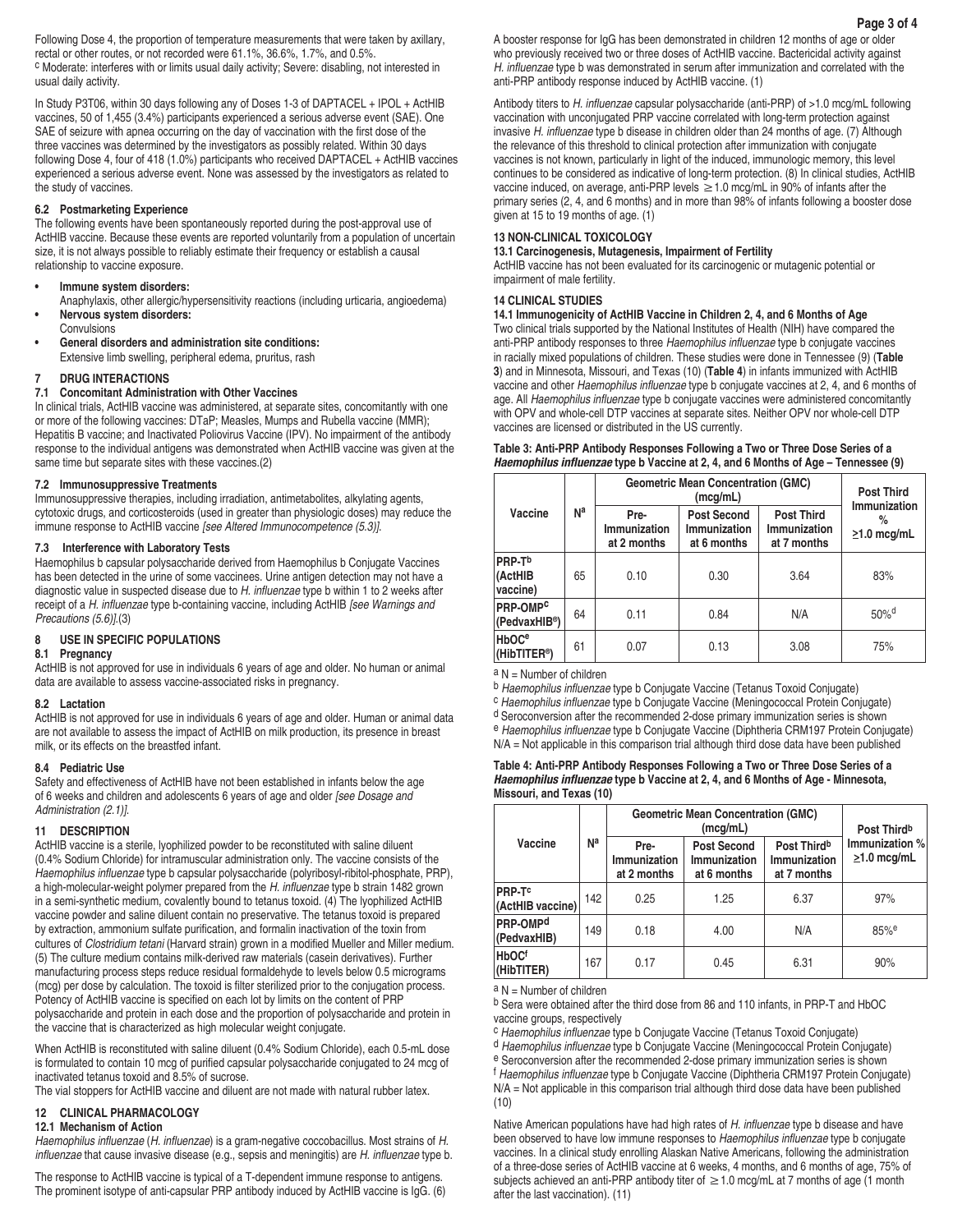Following Dose 4, the proportion of temperature measurements that were taken by axillary, rectal or other routes, or not recorded were 61.1%, 36.6%, 1.7%, and 0.5%. c Moderate: interferes with or limits usual daily activity; Severe: disabling, not interested in usual daily activity.

In Study P3T06, within 30 days following any of Doses 1-3 of DAPTACEL + IPOL + ActHIB vaccines, 50 of 1,455 (3.4%) participants experienced a serious adverse event (SAE). One SAE of seizure with apnea occurring on the day of vaccination with the first dose of the three vaccines was determined by the investigators as possibly related. Within 30 days following Dose 4, four of 418 (1.0%) participants who received DAPTACEL + ActHIB vaccines experienced a serious adverse event. None was assessed by the investigators as related to the study of vaccines.

# **6.2 Postmarketing Experience**

The following events have been spontaneously reported during the post-approval use of ActHIB vaccine. Because these events are reported voluntarily from a population of uncertain size, it is not always possible to reliably estimate their frequency or establish a causal relationship to vaccine exposure.

- **• Immune system disorders:**
- Anaphylaxis, other allergic/hypersensitivity reactions (including urticaria, angioedema) **• Nervous system disorders:**
- Convulsions
- **• General disorders and administration site conditions:** Extensive limb swelling, peripheral edema, pruritus, rash

## **7 DRUG INTERACTIONS**

# **7.1 Concomitant Administration with Other Vaccines**

In clinical trials, ActHIB vaccine was administered, at separate sites, concomitantly with one or more of the following vaccines: DTaP; Measles, Mumps and Rubella vaccine (MMR); Hepatitis B vaccine; and Inactivated Poliovirus Vaccine (IPV). No impairment of the antibody response to the individual antigens was demonstrated when ActHIB vaccine was given at the same time but separate sites with these vaccines.(2)

## **7.2 Immunosuppressive Treatments**

Immunosuppressive therapies, including irradiation, antimetabolites, alkylating agents, cytotoxic drugs, and corticosteroids (used in greater than physiologic doses) may reduce the immune response to ActHIB vaccine *[see Altered Immunocompetence (5.3)]*.

# **7.3 Interference with Laboratory Tests**

Haemophilus b capsular polysaccharide derived from Haemophilus b Conjugate Vaccines has been detected in the urine of some vaccinees. Urine antigen detection may not have a diagnostic value in suspected disease due to H. influenzae type b within 1 to 2 weeks after receipt of a H. influenzae type b-containing vaccine, including ActHIB *[see Warnings and Precautions (5.6)]*.(3)

# **8 USE IN SPECIFIC POPULATIONS**

# **8.1 Pregnancy**

ActHIB is not approved for use in individuals 6 years of age and older. No human or animal data are available to assess vaccine-associated risks in pregnancy.

# **8.2 Lactation**

ActHIB is not approved for use in individuals 6 years of age and older. Human or animal data are not available to assess the impact of ActHIB on milk production, its presence in breast milk, or its effects on the breastfed infant.

## **8.4 Pediatric Use**

Safety and effectiveness of ActHIB have not been established in infants below the age of 6 weeks and children and adolescents 6 years of age and older *[see Dosage and Administration (2.1)]*.

# **11 DESCRIPTION**

ActHIB vaccine is a sterile, lyophilized powder to be reconstituted with saline diluent (0.4% Sodium Chloride) for intramuscular administration only. The vaccine consists of the Haemophilus influenzae type b capsular polysaccharide (polyribosyl-ribitol-phosphate, PRP), a high-molecular-weight polymer prepared from the H. influenzae type b strain 1482 grown in a semi-synthetic medium, covalently bound to tetanus toxoid. (4) The lyophilized ActHIB vaccine powder and saline diluent contain no preservative. The tetanus toxoid is prepared by extraction, ammonium sulfate purification, and formalin inactivation of the toxin from cultures of *Clostridium tetani* (Harvard strain) grown in a modified Mueller and Miller medium. (5) The culture medium contains milk-derived raw materials (casein derivatives). Further manufacturing process steps reduce residual formaldehyde to levels below 0.5 micrograms (mcg) per dose by calculation. The toxoid is filter sterilized prior to the conjugation process. Potency of ActHIB vaccine is specified on each lot by limits on the content of PRP polysaccharide and protein in each dose and the proportion of polysaccharide and protein in the vaccine that is characterized as high molecular weight conjugate.

When ActHIB is reconstituted with saline diluent (0.4% Sodium Chloride), each 0.5-mL dose is formulated to contain 10 mcg of purified capsular polysaccharide conjugated to 24 mcg of inactivated tetanus toxoid and 8.5% of sucrose.

The vial stoppers for ActHIB vaccine and diluent are not made with natural rubber latex.

# **12 CLINICAL PHARMACOLOGY**

# **12.1 Mechanism of Action**

Haemophilus influenzae (H. influenzae) is a gram-negative coccobacillus. Most strains of *H.*  influenzae that cause invasive disease (e.g., sepsis and meningitis) are H. influenzae type b.

The response to ActHIB vaccine is typical of a T-dependent immune response to antigens. The prominent isotype of anti-capsular PRP antibody induced by ActHIB vaccine is IgG. (6) A booster response for IgG has been demonstrated in children 12 months of age or older who previously received two or three doses of ActHIB vaccine. Bactericidal activity against H. influenzae type b was demonstrated in serum after immunization and correlated with the anti-PRP antibody response induced by ActHIB vaccine. (1)

Antibody titers to H. influenzae capsular polysaccharide (anti-PRP) of >1.0 mcg/mL following vaccination with unconjugated PRP vaccine correlated with long-term protection against invasive H. influenzae type b disease in children older than 24 months of age. (7) Although the relevance of this threshold to clinical protection after immunization with conjugate vaccines is not known, particularly in light of the induced, immunologic memory, this level continues to be considered as indicative of long-term protection. (8) In clinical studies, ActHIB vaccine induced, on average, anti-PRP levels  $\geq$  1.0 mcg/mL in 90% of infants after the primary series (2, 4, and 6 months) and in more than 98% of infants following a booster dose given at 15 to 19 months of age. (1)

#### **13 NON-CLINICAL TOXICOLOGY**

## **13.1 Carcinogenesis, Mutagenesis, Impairment of Fertility**

ActHIB vaccine has not been evaluated for its carcinogenic or mutagenic potential or impairment of male fertility.

# **14 CLINICAL STUDIES**

## **14.1 Immunogenicity of ActHIB Vaccine in Children 2, 4, and 6 Months of Age**

Two clinical trials supported by the National Institutes of Health (NIH) have compared the anti-PRP antibody responses to three Haemophilus influenzae type b conjugate vaccines in racially mixed populations of children. These studies were done in Tennessee (9) (**Table 3**) and in Minnesota, Missouri, and Texas (10) (**Table 4**) in infants immunized with ActHIB vaccine and other Haemophilus influenzae type b conjugate vaccines at 2, 4, and 6 months of age. All Haemophilus influenzae type b conjugate vaccines were administered concomitantly with OPV and whole-cell DTP vaccines at separate sites. Neither OPV nor whole-cell DTP vaccines are licensed or distributed in the US currently.

## **Table 3: Anti-PRP Antibody Responses Following a Two or Three Dose Series of a** *Haemophilus influenzae* **type b Vaccine at 2, 4, and 6 Months of Age – Tennessee (9)**

|                                                     |    | <b>Geometric Mean Concentration (GMC)</b> | <b>Post Third</b><br>Immunization                 |                                                  |                        |
|-----------------------------------------------------|----|-------------------------------------------|---------------------------------------------------|--------------------------------------------------|------------------------|
| Vaccine                                             | Nª | Pre-<br>Immunization<br>at 2 months       | <b>Post Second</b><br>Immunization<br>at 6 months | <b>Post Third</b><br>Immunization<br>at 7 months | %<br>$\geq$ 1.0 mcg/mL |
| PRP-T <sup>b</sup><br>(ActHIB<br>vaccine)           | 65 | 0.10                                      | 0.30                                              | 3.64                                             | 83%                    |
| PRP-OMP <sup>C</sup><br>(PedvaxHIB®)                | 64 | 0.11                                      | 0.84                                              | N/A                                              | $50%^{d}$              |
| <b>HbOC<sup>e</sup></b><br>(HibTITER <sup>®</sup> ) | 61 | 0.07                                      | 0.13                                              | 3.08                                             | 75%                    |

 $a N =$  Number of children

b Haemophilus influenzae type b Conjugate Vaccine (Tetanus Toxoid Conjugate)<br>
C Haemophilus influenzae type b Conjugate Vaccine (Meningococcal Protein Conjugate)

d Seroconversion after the recommended 2-dose primary immunization series is shown

e Haemophilus influenzae type b Conjugate Vaccine (Diphtheria CRM197 Protein Conjugate)

N/A = Not applicable in this comparison trial although third dose data have been published

## **Table 4: Anti-PRP Antibody Responses Following a Two or Three Dose Series of a**  *Haemophilus influenzae* **type b Vaccine at 2, 4, and 6 Months of Age - Minnesota, Missouri, and Texas (10)**

|                                   |     | <b>Geometric Mean Concentration (GMC)</b> | Post Third <sup>b</sup>                           |                                                        |                                     |
|-----------------------------------|-----|-------------------------------------------|---------------------------------------------------|--------------------------------------------------------|-------------------------------------|
| Vaccine                           | Nª  | Pre-<br>Immunization<br>at 2 months       | <b>Post Second</b><br>Immunization<br>at 6 months | Post Third <sup>b</sup><br>Immunization<br>at 7 months | Immunization %<br>$\geq$ 1.0 mcg/mL |
| <b>PRP-T°</b><br>(ActHIB vaccine) | 142 | 0.25                                      | 1.25                                              | 6.37                                                   | 97%                                 |
| <b>PRP-OMPd</b><br>(PedvaxHIB)    | 149 | 0.18                                      | 4.00                                              | N/A                                                    | $85%$ <sup>e</sup>                  |
| <b>HbOCf</b><br>(HibTITER)        | 167 | 0.17                                      | 0.45                                              | 6.31                                                   | 90%                                 |

 $a N =$  Number of children

b Sera were obtained after the third dose from 86 and 110 infants, in PRP-T and HbOC vaccine groups, respectively

c Haemophilus influenzae type b Conjugate Vaccine (Tetanus Toxoid Conjugate)

d Haemophilus influenzae type b Conjugate Vaccine (Meningococcal Protein Conjugate) e Seroconversion after the recommended 2-dose primary immunization series is shown

f Haemophilus influenzae type b Conjugate Vaccine (Diphtheria CRM197 Protein Conjugate) N/A = Not applicable in this comparison trial although third dose data have been published (10)

Native American populations have had high rates of H. influenzae type b disease and have been observed to have low immune responses to Haemophilus influenzae type b conjugate vaccines. In a clinical study enrolling Alaskan Native Americans, following the administration of a three-dose series of ActHIB vaccine at 6 weeks, 4 months, and 6 months of age, 75% of subjects achieved an anti-PRP antibody titer of  $\geq$  1.0 mcg/mL at 7 months of age (1 month after the last vaccination). (11)